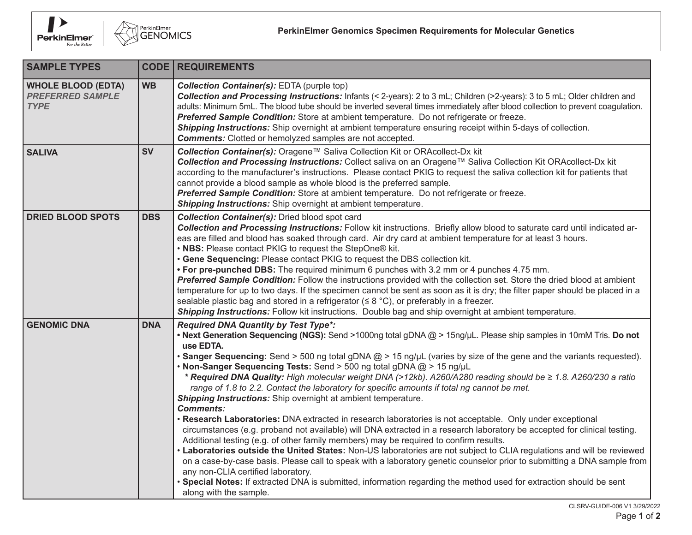



| <b>SAMPLE TYPES</b>                                                 |            | <b>CODE   REQUIREMENTS</b>                                                                                                                                                                                                                                                                                                                                                                                                                                                                                                                                                                                                                                                                                                                                                                                                                                                                                                                                                                                                                                                                                                                                                                                                                                                                                                                                                                                                                                       |
|---------------------------------------------------------------------|------------|------------------------------------------------------------------------------------------------------------------------------------------------------------------------------------------------------------------------------------------------------------------------------------------------------------------------------------------------------------------------------------------------------------------------------------------------------------------------------------------------------------------------------------------------------------------------------------------------------------------------------------------------------------------------------------------------------------------------------------------------------------------------------------------------------------------------------------------------------------------------------------------------------------------------------------------------------------------------------------------------------------------------------------------------------------------------------------------------------------------------------------------------------------------------------------------------------------------------------------------------------------------------------------------------------------------------------------------------------------------------------------------------------------------------------------------------------------------|
| <b>WHOLE BLOOD (EDTA)</b><br><b>PREFERRED SAMPLE</b><br><b>TYPE</b> | <b>WB</b>  | <b>Collection Container(s): EDTA (purple top)</b><br>Collection and Processing Instructions: Infants (< 2-years): 2 to 3 mL; Children (>2-years): 3 to 5 mL; Older children and<br>adults: Minimum 5mL. The blood tube should be inverted several times immediately after blood collection to prevent coagulation.<br>Preferred Sample Condition: Store at ambient temperature. Do not refrigerate or freeze.<br>Shipping Instructions: Ship overnight at ambient temperature ensuring receipt within 5-days of collection.<br><b>Comments:</b> Clotted or hemolyzed samples are not accepted.                                                                                                                                                                                                                                                                                                                                                                                                                                                                                                                                                                                                                                                                                                                                                                                                                                                                   |
| <b>SALIVA</b>                                                       | <b>SV</b>  | Collection Container(s): Oragene™ Saliva Collection Kit or ORAcollect-Dx kit<br>Collection and Processing Instructions: Collect saliva on an Oragene™ Saliva Collection Kit ORAcollect-Dx kit<br>according to the manufacturer's instructions. Please contact PKIG to request the saliva collection kit for patients that<br>cannot provide a blood sample as whole blood is the preferred sample.<br>Preferred Sample Condition: Store at ambient temperature. Do not refrigerate or freeze.<br>Shipping Instructions: Ship overnight at ambient temperature.                                                                                                                                                                                                                                                                                                                                                                                                                                                                                                                                                                                                                                                                                                                                                                                                                                                                                                   |
| <b>DRIED BLOOD SPOTS</b>                                            | <b>DBS</b> | <b>Collection Container(s):</b> Dried blood spot card<br>Collection and Processing Instructions: Follow kit instructions. Briefly allow blood to saturate card until indicated ar-<br>eas are filled and blood has soaked through card. Air dry card at ambient temperature for at least 3 hours.<br>• NBS: Please contact PKIG to request the StepOne® kit.<br>• Gene Sequencing: Please contact PKIG to request the DBS collection kit.<br>• For pre-punched DBS: The required minimum 6 punches with 3.2 mm or 4 punches 4.75 mm.<br>Preferred Sample Condition: Follow the instructions provided with the collection set. Store the dried blood at ambient<br>temperature for up to two days. If the specimen cannot be sent as soon as it is dry; the filter paper should be placed in a<br>sealable plastic bag and stored in a refrigerator ( $\leq 8$ °C), or preferably in a freezer.<br>Shipping Instructions: Follow kit instructions. Double bag and ship overnight at ambient temperature.                                                                                                                                                                                                                                                                                                                                                                                                                                                          |
| <b>GENOMIC DNA</b>                                                  | <b>DNA</b> | <b>Required DNA Quantity by Test Type*:</b><br>• Next Generation Sequencing (NGS): Send >1000ng total gDNA @ > 15ng/µL. Please ship samples in 10mM Tris. Do not<br>use EDTA.<br>• Sanger Sequencing: Send > 500 ng total gDNA @ > 15 ng/µL (varies by size of the gene and the variants requested).<br>• Non-Sanger Sequencing Tests: Send > 500 ng total gDNA @ > 15 ng/µL<br>* Required DNA Quality: High molecular weight DNA (>12kb). A260/A280 reading should be ≥ 1.8. A260/230 a ratio<br>range of 1.8 to 2.2. Contact the laboratory for specific amounts if total ng cannot be met.<br>Shipping Instructions: Ship overnight at ambient temperature.<br><b>Comments:</b><br>• Research Laboratories: DNA extracted in research laboratories is not acceptable. Only under exceptional<br>circumstances (e.g. proband not available) will DNA extracted in a research laboratory be accepted for clinical testing.<br>Additional testing (e.g. of other family members) may be required to confirm results.<br>• Laboratories outside the United States: Non-US laboratories are not subject to CLIA regulations and will be reviewed<br>on a case-by-case basis. Please call to speak with a laboratory genetic counselor prior to submitting a DNA sample from<br>any non-CLIA certified laboratory.<br>• Special Notes: If extracted DNA is submitted, information regarding the method used for extraction should be sent<br>along with the sample. |